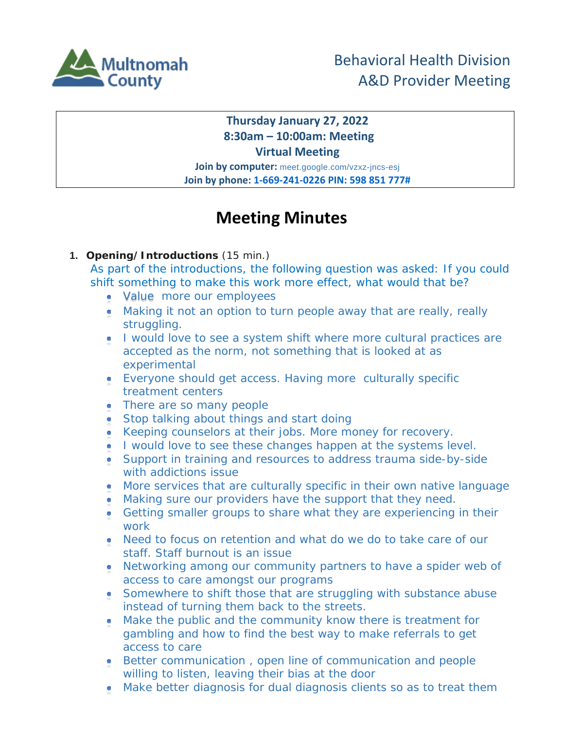

## **Thursday January 27, 2022 8:30am – 10:00am: Meeting Virtual Meeting**

**Join by computer:** meet.google.com/vzxz-jncs-esj **Join by phone: 1-669-241-0226 PIN: 598 851 777#**

# **Meeting Minutes**

**1. Opening/Introductions** (15 min.)

As part of the introductions, the following question was asked: If you could shift something to make this work more effect, what would that be?

- Value more our employees
- Making it not an option to turn people away that are really, really struggling.
- I would love to see a system shift where more cultural practices are accepted as the norm, not something that is looked at as experimental
- Everyone should get access. Having more culturally specific treatment centers
- There are so many people
- Stop talking about things and start doing
- Keeping counselors at their jobs. More money for recovery.
- I would love to see these changes happen at the systems level.
- Support in training and resources to address trauma side-by-side with addictions issue
- More services that are culturally specific in their own native language
- Making sure our providers have the support that they need.
- Getting smaller groups to share what they are experiencing in their work
- Need to focus on retention and what do we do to take care of our staff. Staff burnout is an issue
- Networking among our community partners to have a spider web of access to care amongst our programs
- Somewhere to shift those that are struggling with substance abuse instead of turning them back to the streets.
- Make the public and the community know there is treatment for gambling and how to find the best way to make referrals to get access to care
- Better communication , open line of communication and people willing to listen, leaving their bias at the door
- Make better diagnosis for dual diagnosis clients so as to treat them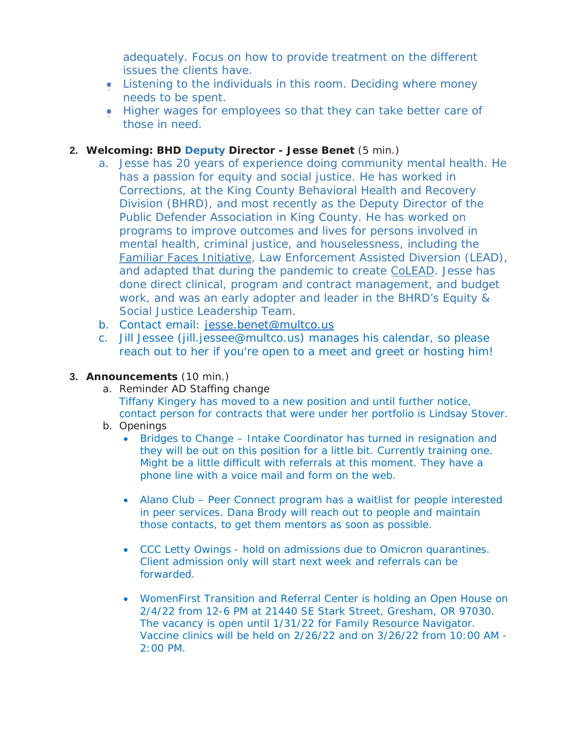adequately. Focus on how to provide treatment on the different issues the clients have.

- Listening to the individuals in this room. Deciding where money needs to be spent.
- Higher wages for employees so that they can take better care of those in need.

### **2. Welcoming: BHD Deputy Director - Jesse Benet** (5 min.)

- a. Jesse has 20 years of experience doing community mental health. He has a passion for equity and social justice. He has worked in Corrections, at the King County Behavioral Health and Recovery Division (BHRD), and most recently as the Deputy Director of the Public Defender Association in King County. He has worked on programs to improve outcomes and lives for persons involved in mental health, criminal justice, and houselessness, including the [Familiar Faces Initiative,](https://kingcounty.gov/elected/executive/health-human-services-transformation/familiar-faces.aspx) Law Enforcement Assisted Diversion (LEAD), and adapted that during the pandemic to create [CoLEAD.](https://coleadteam.org/) Jesse has done direct clinical, program and contract management, and budget work, and was an early adopter and leader in the BHRD's Equity & Social Justice Leadership Team.
- b. Contact email: [jesse.benet@multco.us](mailto:jesse.benet@multco.us)
- c. Jill Jessee (jill.jessee@multco.us) manages his calendar, so please reach out to her if you're open to a meet and greet or hosting him!

#### **3. Announcements** (10 min.)

- a. Reminder AD Staffing change Tiffany Kingery has moved to a new position and until further notice, contact person for contracts that were under her portfolio is Lindsay Stover.
- b. Openings
	- Bridges to Change Intake Coordinator has turned in resignation and they will be out on this position for a little bit. Currently training one. Might be a little difficult with referrals at this moment. They have a phone line with a voice mail and form on the web.
	- Alano Club Peer Connect program has a waitlist for people interested in peer services. Dana Brody will reach out to people and maintain those contacts, to get them mentors as soon as possible.
	- CCC Letty Owings hold on admissions due to Omicron quarantines. Client admission only will start next week and referrals can be forwarded.
	- WomenFirst Transition and Referral Center is holding an Open House on 2/4/22 from 12-6 PM at 21440 SE Stark Street, Gresham, OR 97030. The vacancy is open until 1/31/22 for Family Resource Navigator. Vaccine clinics will be held on 2/26/22 and on 3/26/22 from 10:00 AM - 2:00 PM.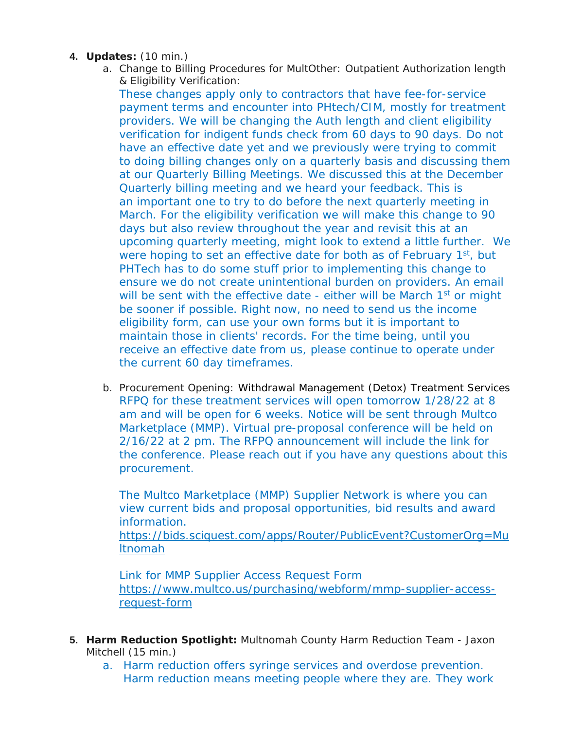#### **4. Updates:** (10 min.)

a. Change to Billing Procedures for MultOther: Outpatient Authorization length & Eligibility Verification:

These changes apply only to contractors that have fee-for-service payment terms and encounter into PHtech/CIM, mostly for treatment providers. We will be changing the Auth length and client eligibility verification for indigent funds check from 60 days to 90 days. Do not have an effective date yet and we previously were trying to commit to doing billing changes only on a quarterly basis and discussing them at our Quarterly Billing Meetings. We discussed this at the December Quarterly billing meeting and we heard your feedback. This is an important one to try to do before the next quarterly meeting in March. For the eligibility verification we will make this change to 90 days but also review throughout the year and revisit this at an upcoming quarterly meeting, might look to extend a little further. We were hoping to set an effective date for both as of February 1<sup>st</sup>, but PHTech has to do some stuff prior to implementing this change to ensure we do not create unintentional burden on providers. An email will be sent with the effective date - either will be March 1<sup>st</sup> or might be sooner if possible. Right now, no need to send us the income eligibility form, can use your own forms but it is important to maintain those in clients' records. For the time being, until you receive an effective date from us, please continue to operate under the current 60 day timeframes.

b. Procurement Opening: Withdrawal Management (Detox) Treatment Services RFPQ for these treatment services will open tomorrow 1/28/22 at 8 am and will be open for 6 weeks. Notice will be sent through Multco Marketplace (MMP). Virtual pre-proposal conference will be held on 2/16/22 at 2 pm. The RFPQ announcement will include the link for the conference. Please reach out if you have any questions about this procurement.

The Multco Marketplace (MMP) Supplier Network is where you can view current bids and proposal opportunities, bid results and award information.

[https://bids.sciquest.com/apps/Router/PublicEvent?CustomerOrg=Mu](https://bids.sciquest.com/apps/Router/PublicEvent?CustomerOrg=Multnomah) [ltnomah](https://bids.sciquest.com/apps/Router/PublicEvent?CustomerOrg=Multnomah)

Link for MMP Supplier Access Request Form [https://www.multco.us/purchasing/webform/mmp-supplier-access](https://www.multco.us/purchasing/webform/mmp-supplier-access-request-form)[request-form](https://www.multco.us/purchasing/webform/mmp-supplier-access-request-form)

- **5. Harm Reduction Spotlight:** Multnomah County Harm Reduction Team Jaxon Mitchell (15 min.)
	- a. Harm reduction offers syringe services and overdose prevention. Harm reduction means meeting people where they are. They work